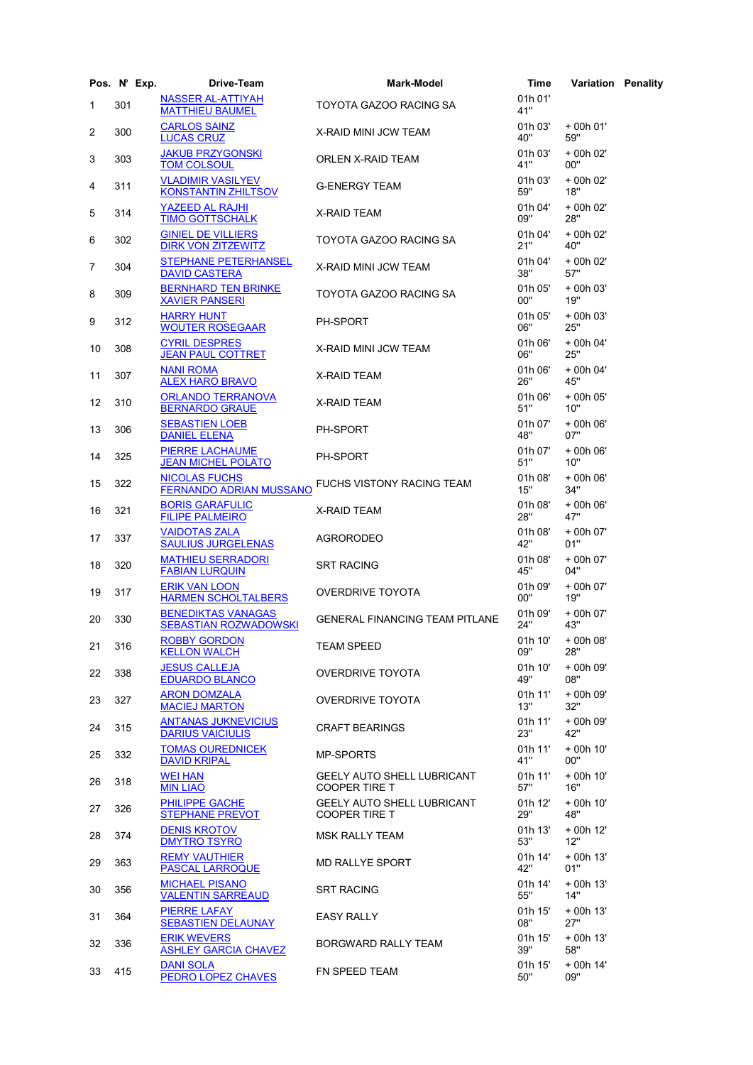|              | Pos. N° Exp. | Drive-Team                                             | <b>Mark-Model</b>                                         | Time           | <b>Variation Penality</b> |  |
|--------------|--------------|--------------------------------------------------------|-----------------------------------------------------------|----------------|---------------------------|--|
| $\mathbf{1}$ | 301          | <b>NASSER AL-ATTIYAH</b><br><b>MATTHIEU BAUMEL</b>     | TOYOTA GAZOO RACING SA                                    | 01h 01'<br>41" |                           |  |
| 2            | 300          | <b>CARLOS SAINZ</b><br><b>LUCAS CRUZ</b>               | X-RAID MINI JCW TEAM                                      | 01h 03'<br>40" | + 00h 01'<br>59"          |  |
| 3            | 303          | <b>JAKUB PRZYGONSKI</b><br><b>TOM COLSOUL</b>          | ORLEN X-RAID TEAM                                         | 01h 03'<br>41" | + 00h 02'<br>00"          |  |
| 4            | 311          | <b>VLADIMIR VASILYEV</b><br><b>KONSTANTIN ZHILTSOV</b> | <b>G-ENERGY TEAM</b>                                      | 01h 03'<br>59" | + 00h 02'<br>18"          |  |
| 5            | 314          | YAZEED AL RAJHI<br><b>TIMO GOTTSCHALK</b>              | X-RAID TEAM                                               | 01h 04'<br>09" | + 00h 02'<br>28"          |  |
| 6            | 302          | <b>GINIEL DE VILLIERS</b><br><b>DIRK VON ZITZEWITZ</b> | TOYOTA GAZOO RACING SA                                    | 01h 04'<br>21" | + 00h 02'<br>40"          |  |
| 7            | 304          | STEPHANE PETERHANSEL<br><b>DAVID CASTERA</b>           | X-RAID MINI JCW TEAM                                      | 01h 04'<br>38" | + 00h 02'<br>57"          |  |
| 8            | 309          | <b>BERNHARD TEN BRINKE</b><br><b>XAVIER PANSERI</b>    | TOYOTA GAZOO RACING SA                                    | 01h 05'<br>00" | + 00h 03'<br>19"          |  |
| 9            | 312          | <b>HARRY HUNT</b><br><b>WOUTER ROSEGAAR</b>            | <b>PH-SPORT</b>                                           | 01h 05'<br>06" | + 00h 03'<br>25"          |  |
| 10           | 308          | <b>CYRIL DESPRES</b><br><b>JEAN PAUL COTTRET</b>       | X-RAID MINI JCW TEAM                                      | 01h 06'<br>06" | + 00h 04'<br>25"          |  |
| 11           | 307          | <b>NANI ROMA</b><br><b>ALEX HARO BRAVO</b>             | X-RAID TEAM                                               | 01h 06'<br>26" | + 00h 04'<br>45"          |  |
| 12           | 310          | <b>ORLANDO TERRANOVA</b><br><b>BERNARDO GRAUE</b>      | X-RAID TEAM                                               | 01h 06'<br>51" | + 00h 05'<br>10"          |  |
| 13           | 306          | <b>SEBASTIEN LOEB</b><br><b>DANIEL ELENA</b>           | <b>PH-SPORT</b>                                           | 01h 07'<br>48" | + 00h 06'<br>07"          |  |
| 14           | 325          | <b>PIERRE LACHAUME</b><br><b>JEAN MICHEL POLATO</b>    | PH-SPORT                                                  | 01h 07'<br>51" | + 00h 06'<br>10"          |  |
| 15           | 322          | <b>NICOLAS FUCHS</b><br><b>FERNANDO ADRIAN MUSSANO</b> | FUCHS VISTONY RACING TEAM                                 | 01h 08'<br>15" | + 00h 06'<br>34"          |  |
| 16           | 321          | <b>BORIS GARAFULIC</b><br><b>FILIPE PALMEIRO</b>       | X-RAID TEAM                                               | 01h 08'<br>28" | + 00h 06'<br>47"          |  |
| 17           | 337          | <b>VAIDOTAS ZALA</b><br><b>SAULIUS JURGELENAS</b>      | <b>AGRORODEO</b>                                          | 01h 08'<br>42" | + 00h 07'<br>01"          |  |
| 18           | 320          | <b>MATHIEU SERRADORI</b><br><b>FABIAN LURQUIN</b>      | <b>SRT RACING</b>                                         | 01h 08'<br>45" | + 00h 07'<br>04"          |  |
| 19           | 317          | <b>ERIK VAN LOON</b><br><b>HARMEN SCHOLTALBERS</b>     | <b>OVERDRIVE TOYOTA</b>                                   | 01h 09'<br>00" | + 00h 07'<br>19"          |  |
| 20           | 330          | <b>BENEDIKTAS VANAGAS</b><br>SEBASTIAN ROZWADOWSKI     | <b>GENERAL FINANCING TEAM PITLANE</b>                     | 01h 09'<br>24" | + 00h 07'<br>43"          |  |
| 21 316       |              | <b>ROBBY GORDON</b><br><b>KELLON WALCH</b>             | <b>TEAM SPEED</b>                                         | 01h 10'<br>09" | + 00h 08'<br>28"          |  |
| 22           | 338          | <b>JESUS CALLEJA</b><br><b>EDUARDO BLANCO</b>          | <b>OVERDRIVE TOYOTA</b>                                   | 01h 10'<br>49" | + 00h 09'<br>08"          |  |
| 23           | 327          | <b>ARON DOMZALA</b><br><b>MACIEJ MARTON</b>            | <b>OVERDRIVE TOYOTA</b>                                   | 01h 11'<br>13" | + 00h 09'<br>32"          |  |
| 24           | 315          | <b>ANTANAS JUKNEVICIUS</b><br><b>DARIUS VAICIULIS</b>  | <b>CRAFT BEARINGS</b>                                     | 01h 11'<br>23" | + 00h 09'<br>42"          |  |
| 25           | 332          | <b>TOMAS OUREDNICEK</b><br><b>DAVID KRIPAL</b>         | <b>MP-SPORTS</b>                                          | 01h 11'<br>41" | + 00h 10'<br>00"          |  |
| 26           | 318          | <b>WEI HAN</b><br><b>MIN LIAO</b>                      | <b>GEELY AUTO SHELL LUBRICANT</b><br><b>COOPER TIRE T</b> | 01h 11'<br>57" | + 00h 10'<br>16"          |  |
| 27           | 326          | PHILIPPE GACHE<br><b>STEPHANE PREVOT</b>               | <b>GEELY AUTO SHELL LUBRICANT</b><br><b>COOPER TIRE T</b> | 01h 12'<br>29" | + 00h 10'<br>48"          |  |
| 28           | 374          | <b>DENIS KROTOV</b><br><b>DMYTRO TSYRO</b>             | <b>MSK RALLY TEAM</b>                                     | 01h 13'<br>53" | + 00h 12'<br>12"          |  |
| 29           | 363          | <b>REMY VAUTHIER</b><br><b>PASCAL LARROQUE</b>         | MD RALLYE SPORT                                           | 01h 14'<br>42" | + 00h 13'<br>01"          |  |
| 30           | 356          | <b>MICHAEL PISANO</b><br><b>VALENTIN SARREAUD</b>      | <b>SRT RACING</b>                                         | 01h 14'<br>55" | + 00h 13'<br>14"          |  |
| 31           | 364          | <b>PIERRE LAFAY</b><br><b>SEBASTIEN DELAUNAY</b>       | <b>EASY RALLY</b>                                         | 01h 15'<br>08" | + 00h 13'<br>27"          |  |
| 32           | 336          | <b>ERIK WEVERS</b><br><b>ASHLEY GARCIA CHAVEZ</b>      | BORGWARD RALLY TEAM                                       | 01h 15'<br>39" | + 00h 13'<br>58"          |  |
| 33           | 415          | <b>DANI SOLA</b><br>PEDRO LOPEZ CHAVES                 | FN SPEED TEAM                                             | 01h 15'<br>50" | + 00h 14'<br>09"          |  |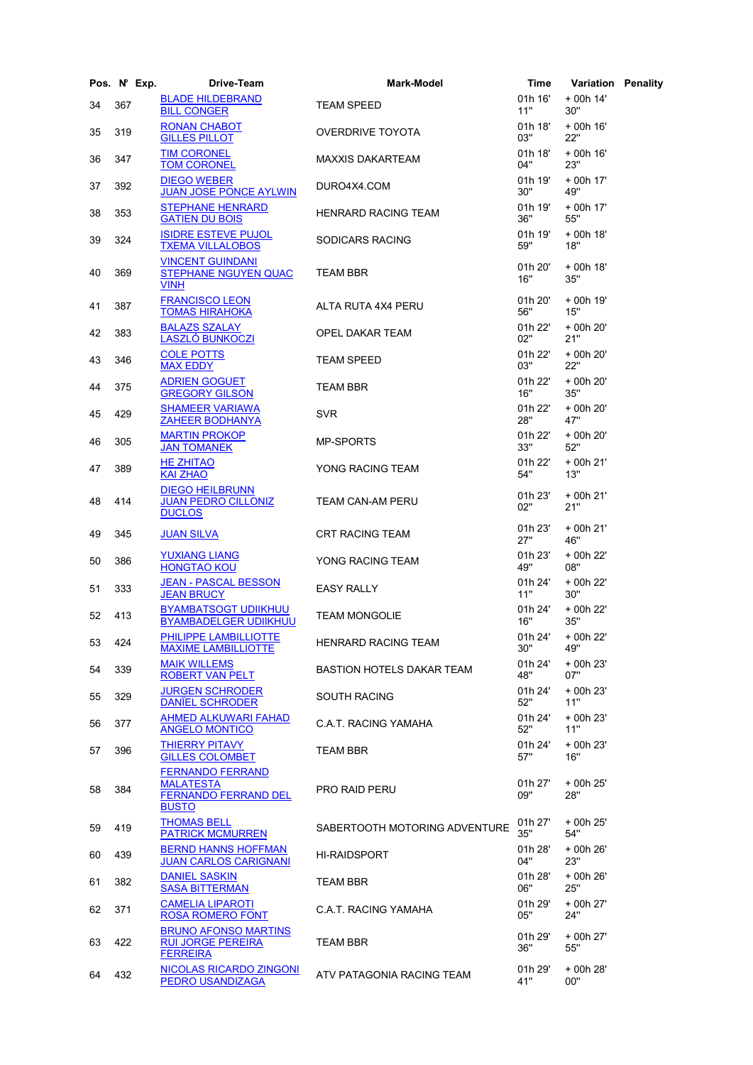|        | Pos. N° Exp. | Drive-Team                                                                                 | <b>Mark-Model</b>                | Time           | <b>Variation Penality</b> |  |
|--------|--------------|--------------------------------------------------------------------------------------------|----------------------------------|----------------|---------------------------|--|
| 34     | 367          | <b>BLADE HILDEBRAND</b><br><b>BILL CONGER</b>                                              | <b>TEAM SPEED</b>                | 01h 16'<br>11" | + 00h 14'<br>30"          |  |
| 35     | 319          | <b>RONAN CHABOT</b><br><b>GILLES PILLOT</b>                                                | <b>OVERDRIVE TOYOTA</b>          | 01h 18'<br>03" | + 00h 16'<br>22"          |  |
| 36     | 347          | <b>TIM CORONEL</b><br><b>TOM CORONEL</b>                                                   | MAXXIS DAKARTEAM                 | 01h 18'<br>04" | $+$ 00h 16'<br>23"        |  |
| 37     | 392          | <b>DIEGO WEBER</b><br><b>JUAN JOSE PONCE AYLWIN</b>                                        | DURO4X4.COM                      | 01h 19'<br>30" | + 00h 17'<br>49"          |  |
| 38     | 353          | <b>STEPHANE HENRARD</b><br><b>GATIEN DU BOIS</b>                                           | HENRARD RACING TEAM              | 01h 19'<br>36" | + 00h 17'<br>55"          |  |
| 39     | 324          | <b>ISIDRE ESTEVE PUJOL</b><br><b>TXEMA VILLALOBOS</b>                                      | SODICARS RACING                  | 01h 19'<br>59" | + 00h 18'<br>18"          |  |
| 40     | 369          | <b>VINCENT GUINDANI</b><br><b>STEPHANE NGUYEN QUAC</b><br><b>VINH</b>                      | <b>TEAM BBR</b>                  | 01h 20'<br>16" | + 00h 18'<br>35"          |  |
| 41     | 387          | <b>FRANCISCO LEON</b><br><b>TOMAS HIRAHOKA</b>                                             | ALTA RUTA 4X4 PERU               | 01h 20'<br>56" | + 00h 19'<br>15"          |  |
| 42     | 383          | <b>BALAZS SZALAY</b><br><b>LASZLÓ BUNKOCZI</b>                                             | OPEL DAKAR TEAM                  | 01h 22'<br>02" | + 00h 20'<br>21"          |  |
| 43     | 346          | <b>COLE POTTS</b><br><b>MAX EDDY</b>                                                       | <b>TEAM SPEED</b>                | 01h 22'<br>03" | + 00h 20'<br>22"          |  |
| 44     | 375          | <b>ADRIEN GOGUET</b><br><b>GREGORY GILSON</b>                                              | <b>TEAM BBR</b>                  | 01h 22'<br>16" | + 00h 20'<br>35"          |  |
| 45     | 429          | <b>SHAMEER VARIAWA</b><br><b>ZAHEER BODHANYA</b>                                           | <b>SVR</b>                       | 01h 22'<br>28" | + 00h 20'<br>47"          |  |
| 46     | 305          | <b>MARTIN PROKOP</b><br><b>JAN TOMANEK</b>                                                 | <b>MP-SPORTS</b>                 | 01h 22'<br>33" | + 00h 20'<br>52"          |  |
| 47     | 389          | <b>HE ZHITAO</b><br><b>KAI ZHAO</b>                                                        | YONG RACING TEAM                 | 01h 22'<br>54" | + 00h 21'<br>13"          |  |
| 48     | 414          | <b>DIEGO HEILBRUNN</b><br><b>JUAN PEDRO CILLONIZ</b><br><b>DUCLOS</b>                      | TEAM CAN-AM PERU                 | 01h 23'<br>02" | + 00h 21'<br>21"          |  |
| 49     | 345          | <b>JUAN SILVA</b>                                                                          | <b>CRT RACING TEAM</b>           | 01h 23'<br>27" | + 00h 21'<br>46"          |  |
| 50     | 386          | <b>YUXIANG LIANG</b><br><b>HONGTAO KOU</b>                                                 | YONG RACING TEAM                 | 01h 23'<br>49" | + 00h 22'<br>08"          |  |
| 51     | 333          | <b>JEAN - PASCAL BESSON</b><br><b>JEAN BRUCY</b>                                           | <b>EASY RALLY</b>                | 01h 24'<br>11" | + 00h 22'<br>30"          |  |
| 52     | 413          | <b>BYAMBATSOGT UDIIKHUU</b><br><b>BYAMBADELGER UDIIKHUU</b>                                | <b>TEAM MONGOLIE</b>             | 01h 24'<br>16" | + 00h 22'<br>35"          |  |
| 53 424 |              | PHILIPPE LAMBILLIOTTE<br><b>MAXIME LAMBILLIOTTE</b>                                        | HENRARD RACING TEAM              | 01h 24'<br>30" | + 00h 22'<br>49"          |  |
| 54     | 339          | <b>MAIK WILLEMS</b><br><b>ROBERT VAN PELT</b>                                              | <b>BASTION HOTELS DAKAR TEAM</b> | 01h 24'<br>48" | + 00h 23'<br>07"          |  |
| 55     | 329          | <b>JURGEN SCHRODER</b><br><b>DANIEL SCHRODER</b>                                           | <b>SOUTH RACING</b>              | 01h 24'<br>52" | + 00h 23'<br>11"          |  |
| 56     | 377          | <b>AHMED ALKUWARI FAHAD</b><br><b>ANGELO MONTICO</b>                                       | C.A.T. RACING YAMAHA             | 01h 24'<br>52" | + 00h 23'<br>11"          |  |
| 57     | 396          | <b>THIERRY PITAVY</b><br><b>GILLES COLOMBET</b>                                            | <b>TEAM BBR</b>                  | 01h 24'<br>57" | + 00h 23'<br>16"          |  |
| 58     | 384          | <b>FERNANDO FERRAND</b><br><b>MALATESTA</b><br><b>FERNANDO FERRAND DEL</b><br><b>BUSTO</b> | <b>PRO RAID PERU</b>             | 01h 27'<br>09" | + 00h 25'<br>28"          |  |
| 59     | 419          | <b>THOMAS BELL</b><br><b>PATRICK MCMURREN</b>                                              | SABERTOOTH MOTORING ADVENTURE    | 01h 27'<br>35" | + 00h 25'<br>54"          |  |
| 60     | 439          | <b>BERND HANNS HOFFMAN</b><br><b>JUAN CARLOS CARIGNANI</b>                                 | <b>HI-RAIDSPORT</b>              | 01h 28'<br>04" | + 00h 26'<br>23"          |  |
| 61     | 382          | <b>DANIEL SASKIN</b><br><b>SASA BITTERMAN</b>                                              | <b>TEAM BBR</b>                  | 01h 28'<br>06" | + 00h 26'<br>25"          |  |
| 62     | 371          | <b>CAMELIA LIPAROTI</b><br><b>ROSA ROMERO FONT</b>                                         | C.A.T. RACING YAMAHA             | 01h 29'<br>05" | + 00h 27'<br>24"          |  |
| 63     | 422          | <b>BRUNO AFONSO MARTINS</b><br><b>RUI JORGE PEREIRA</b><br><b>FERREIRA</b>                 | <b>TEAM BBR</b>                  | 01h 29'<br>36" | + 00h 27'<br>55"          |  |
| 64     | 432          | NICOLAS RICARDO ZINGONI<br><b>PEDRO USANDIZAGA</b>                                         | ATV PATAGONIA RACING TEAM        | 01h 29'<br>41" | + 00h 28'<br>00"          |  |